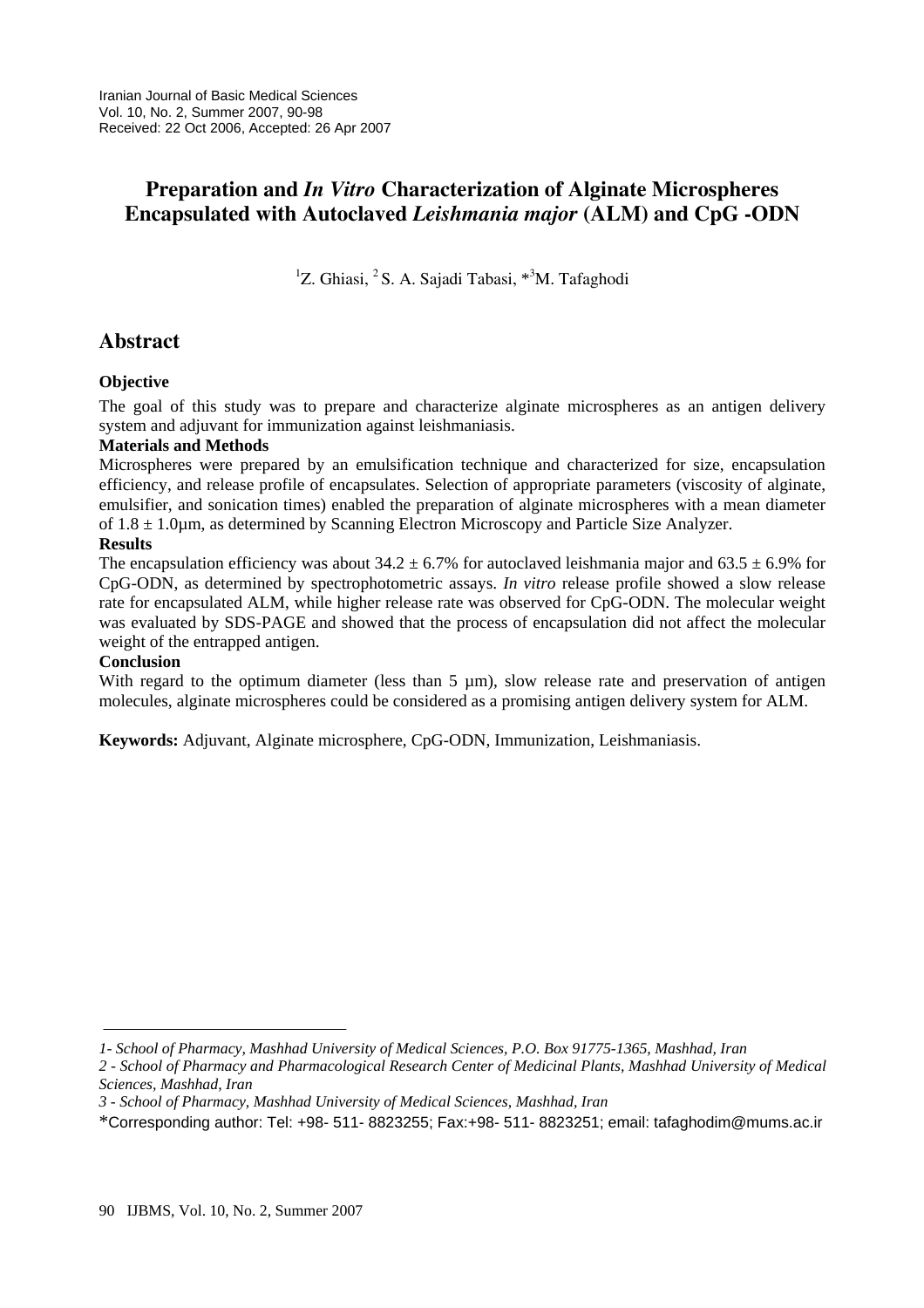# **Preparation and** *In Vitro* **Characterization of Alginate Microspheres Encapsulated with Autoclaved** *Leishmania major* **(ALM) and CpG -ODN**

<sup>1</sup>Z. Ghiasi, <sup>2</sup>S. A. Sajadi Tabasi, <sup>\*3</sup>M. Tafaghodi

## **Abstract**

### **Objective**

The goal of this study was to prepare and characterize alginate microspheres as an antigen delivery system and adjuvant for immunization against leishmaniasis.

### **Materials and Methods**

Microspheres were prepared by an emulsification technique and characterized for size, encapsulation efficiency, and release profile of encapsulates. Selection of appropriate parameters (viscosity of alginate, emulsifier, and sonication times) enabled the preparation of alginate microspheres with a mean diameter of  $1.8 \pm 1.0$ um, as determined by Scanning Electron Microscopy and Particle Size Analyzer.

### **Results**

The encapsulation efficiency was about  $34.2 \pm 6.7\%$  for autoclaved leishmania major and  $63.5 \pm 6.9\%$  for CpG-ODN, as determined by spectrophotometric assays. *In vitro* release profile showed a slow release rate for encapsulated ALM, while higher release rate was observed for CpG-ODN. The molecular weight was evaluated by SDS-PAGE and showed that the process of encapsulation did not affect the molecular weight of the entrapped antigen.

### **Conclusion**

With regard to the optimum diameter (less than  $5 \mu m$ ), slow release rate and preservation of antigen molecules, alginate microspheres could be considered as a promising antigen delivery system for ALM.

**Keywords:** Adjuvant, Alginate microsphere, CpG-ODN, Immunization, Leishmaniasis.

*<sup>1-</sup> School of Pharmacy, Mashhad University of Medical Sciences, P.O. Box 91775-1365, Mashhad, Iran* 

*<sup>2 -</sup> School of Pharmacy and Pharmacological Research Center of Medicinal Plants, Mashhad University of Medical Sciences, Mashhad, Iran* 

*<sup>3 -</sup> School of Pharmacy, Mashhad University of Medical Sciences, Mashhad, Iran* 

<sup>\*</sup>Corresponding author: Tel: +98- 511- 8823255; Fax:+98- 511- 8823251; email: tafaghodim@mums.ac.ir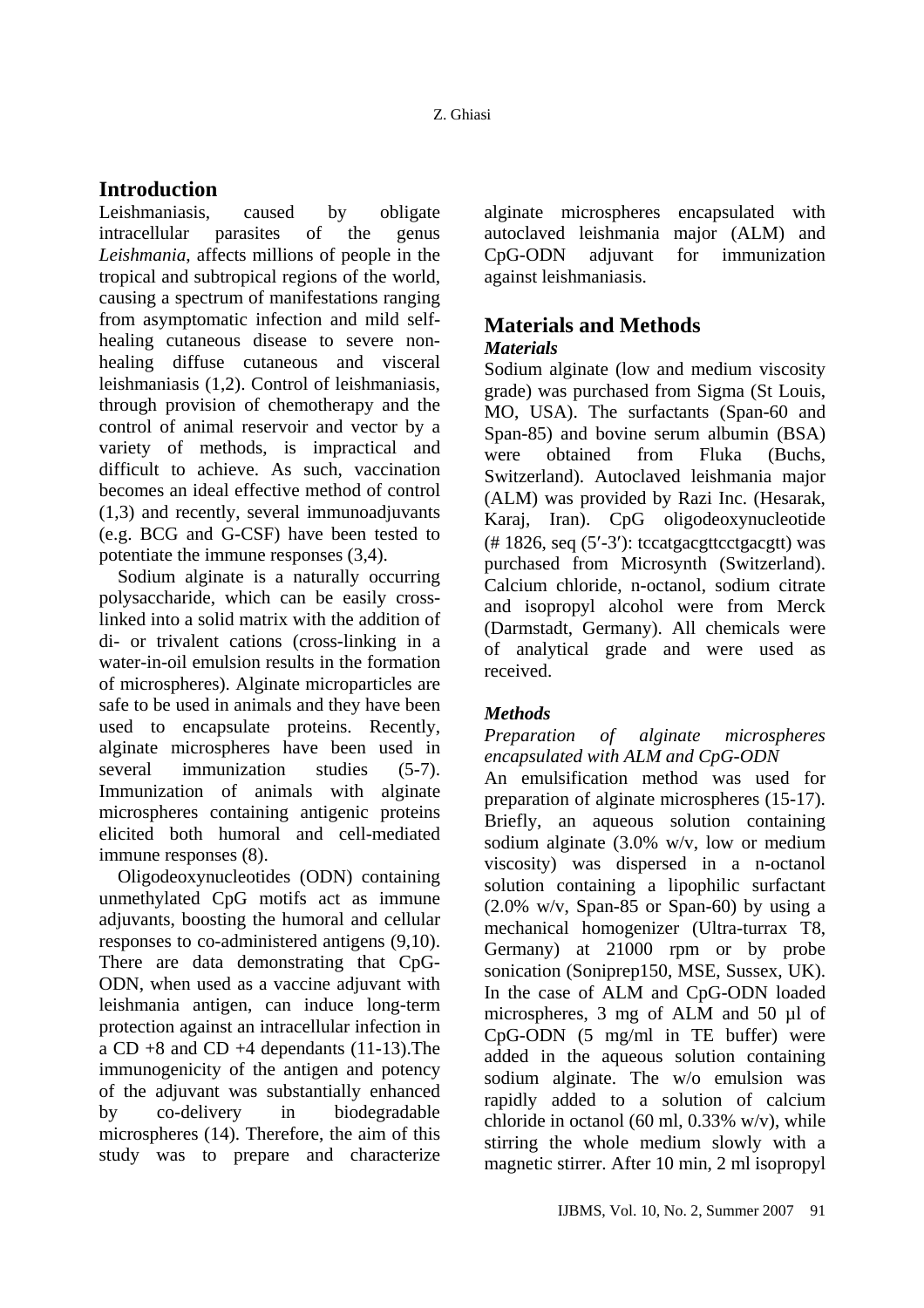## **Introduction**

Leishmaniasis, caused by obligate intracellular parasites of the genus *Leishmania*, affects millions of people in the tropical and subtropical regions of the world, causing a spectrum of manifestations ranging from asymptomatic infection and mild selfhealing cutaneous disease to severe nonhealing diffuse cutaneous and visceral leishmaniasis (1,2). Control of leishmaniasis, through provision of chemotherapy and the control of animal reservoir and vector by a variety of methods, is impractical and difficult to achieve. As such, vaccination becomes an ideal effective method of control (1,3) and recently, several immunoadjuvants (e.g. BCG and G-CSF) have been tested to potentiate the immune responses (3,4).

Sodium alginate is a naturally occurring polysaccharide, which can be easily crosslinked into a solid matrix with the addition of di- or trivalent cations (cross-linking in a water-in-oil emulsion results in the formation of microspheres). Alginate microparticles are safe to be used in animals and they have been used to encapsulate proteins. Recently, alginate microspheres have been used in several immunization studies (5-7). Immunization of animals with alginate microspheres containing antigenic proteins elicited both humoral and cell-mediated immune responses (8).

Oligodeoxynucleotides (ODN) containing unmethylated CpG motifs act as immune adjuvants, boosting the humoral and cellular responses to co-administered antigens (9,10). There are data demonstrating that CpG-ODN, when used as a vaccine adjuvant with leishmania antigen, can induce long-term protection against an intracellular infection in a CD  $+8$  and CD  $+4$  dependants (11-13). The immunogenicity of the antigen and potency of the adjuvant was substantially enhanced by co-delivery in biodegradable microspheres (14). Therefore, the aim of this study was to prepare and characterize alginate microspheres encapsulated with autoclaved leishmania major (ALM) and CpG-ODN adjuvant for immunization against leishmaniasis.

### **Materials and Methods**  *Materials*

Sodium alginate (low and medium viscosity grade) was purchased from Sigma (St Louis, MO, USA). The surfactants (Span-60 and Span-85) and bovine serum albumin (BSA) were obtained from Fluka (Buchs, Switzerland). Autoclaved leishmania major (ALM) was provided by Razi Inc. (Hesarak, Karaj, Iran). CpG oligodeoxynucleotide  $($ # 1826, seq  $(5'$ -3' $)$ : tccatgacgttcctgacgtt) was purchased from Microsynth (Switzerland). Calcium chloride, n-octanol, sodium citrate and isopropyl alcohol were from Merck (Darmstadt, Germany). All chemicals were of analytical grade and were used as received.

### *Methods*

*Preparation of alginate microspheres encapsulated with ALM and CpG-ODN*  An emulsification method was used for preparation of alginate microspheres (15-17). Briefly, an aqueous solution containing sodium alginate (3.0% w/v, low or medium viscosity) was dispersed in a n-octanol solution containing a lipophilic surfactant  $(2.0\%$  w/v, Span-85 or Span-60) by using a mechanical homogenizer (Ultra-turrax T8, Germany) at 21000 rpm or by probe sonication (Soniprep150, MSE, Sussex, UK). In the case of ALM and CpG-ODN loaded microspheres, 3 mg of ALM and 50 µl of CpG-ODN (5 mg/ml in TE buffer) were added in the aqueous solution containing sodium alginate. The w/o emulsion was rapidly added to a solution of calcium chloride in octanol (60 ml, 0.33% w/v), while stirring the whole medium slowly with a magnetic stirrer. After 10 min, 2 ml isopropyl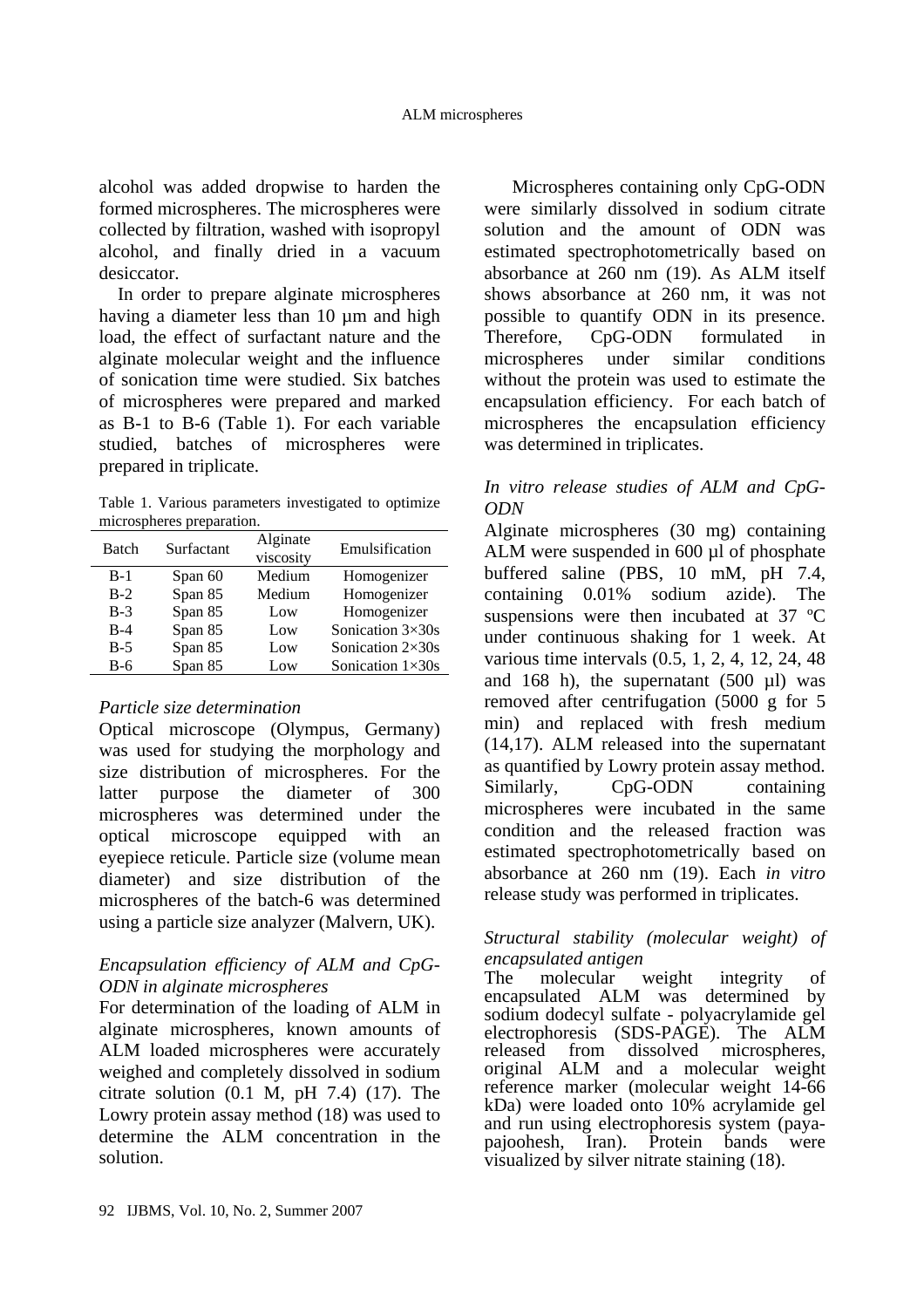alcohol was added dropwise to harden the formed microspheres. The microspheres were collected by filtration, washed with isopropyl alcohol, and finally dried in a vacuum desiccator.

In order to prepare alginate microspheres having a diameter less than 10 um and high load, the effect of surfactant nature and the alginate molecular weight and the influence of sonication time were studied. Six batches of microspheres were prepared and marked as B-1 to B-6 (Table 1). For each variable studied, batches of microspheres were prepared in triplicate.

Table 1. Various parameters investigated to optimize microspheres preparation.

| <b>Batch</b> | Surfactant | Alginate<br>viscosity | Emulsification          |
|--------------|------------|-----------------------|-------------------------|
| $B-1$        | Span 60    | Medium                | Homogenizer             |
| $B-2$        | Span 85    | Medium                | Homogenizer             |
| $B-3$        | Span 85    | Low                   | Homogenizer             |
| $B-4$        | Span 85    | Low                   | Sonication 3×30s        |
| $B-5$        | Span 85    | Low                   | Sonication $2\times30s$ |
| $B-6$        | Span 85    | Low                   | Sonication $1\times30s$ |
|              |            |                       |                         |

## *Particle size determination*

Optical microscope (Olympus, Germany) was used for studying the morphology and size distribution of microspheres. For the latter purpose the diameter of 300 microspheres was determined under the optical microscope equipped with an eyepiece reticule. Particle size (volume mean diameter) and size distribution of the microspheres of the batch-6 was determined using a particle size analyzer (Malvern, UK).

### *Encapsulation efficiency of ALM and CpG-ODN in alginate microspheres*

For determination of the loading of ALM in alginate microspheres, known amounts of ALM loaded microspheres were accurately weighed and completely dissolved in sodium citrate solution (0.1 M, pH 7.4) (17). The Lowry protein assay method (18) was used to determine the ALM concentration in the solution.

Microspheres containing only CpG-ODN were similarly dissolved in sodium citrate solution and the amount of ODN was estimated spectrophotometrically based on absorbance at 260 nm (19). As ALM itself shows absorbance at 260 nm, it was not possible to quantify ODN in its presence. Therefore, CpG-ODN formulated in microspheres under similar conditions without the protein was used to estimate the encapsulation efficiency. For each batch of microspheres the encapsulation efficiency was determined in triplicates.

### *In vitro release studies of ALM and CpG-ODN*

Alginate microspheres (30 mg) containing ALM were suspended in 600 µl of phosphate buffered saline (PBS, 10 mM, pH 7.4, containing 0.01% sodium azide). The suspensions were then incubated at 37 ºC under continuous shaking for 1 week. At various time intervals (0.5, 1, 2, 4, 12, 24, 48 and 168 h), the supernatant  $(500 \text{ µl})$  was removed after centrifugation (5000 g for 5 min) and replaced with fresh medium (14,17). ALM released into the supernatant as quantified by Lowry protein assay method. Similarly, CpG-ODN containing microspheres were incubated in the same condition and the released fraction was estimated spectrophotometrically based on absorbance at 260 nm (19). Each *in vitro* release study was performed in triplicates.

### *Structural stability (molecular weight) of encapsulated antigen*

The molecular weight integrity of encapsulated ALM was determined by sodium dodecyl sulfate - polyacrylamide gel electrophoresis (SDS-PAGE). The ALM released from dissolved microspheres, original ALM and a molecular weight reference marker (molecular weight 14-66 kDa) were loaded onto 10% acrylamide gel and run using electrophoresis system (paya-<br>pajoohesh, Iran). Protein bands were pajoohesh, Iran). Protein bands visualized by silver nitrate staining (18).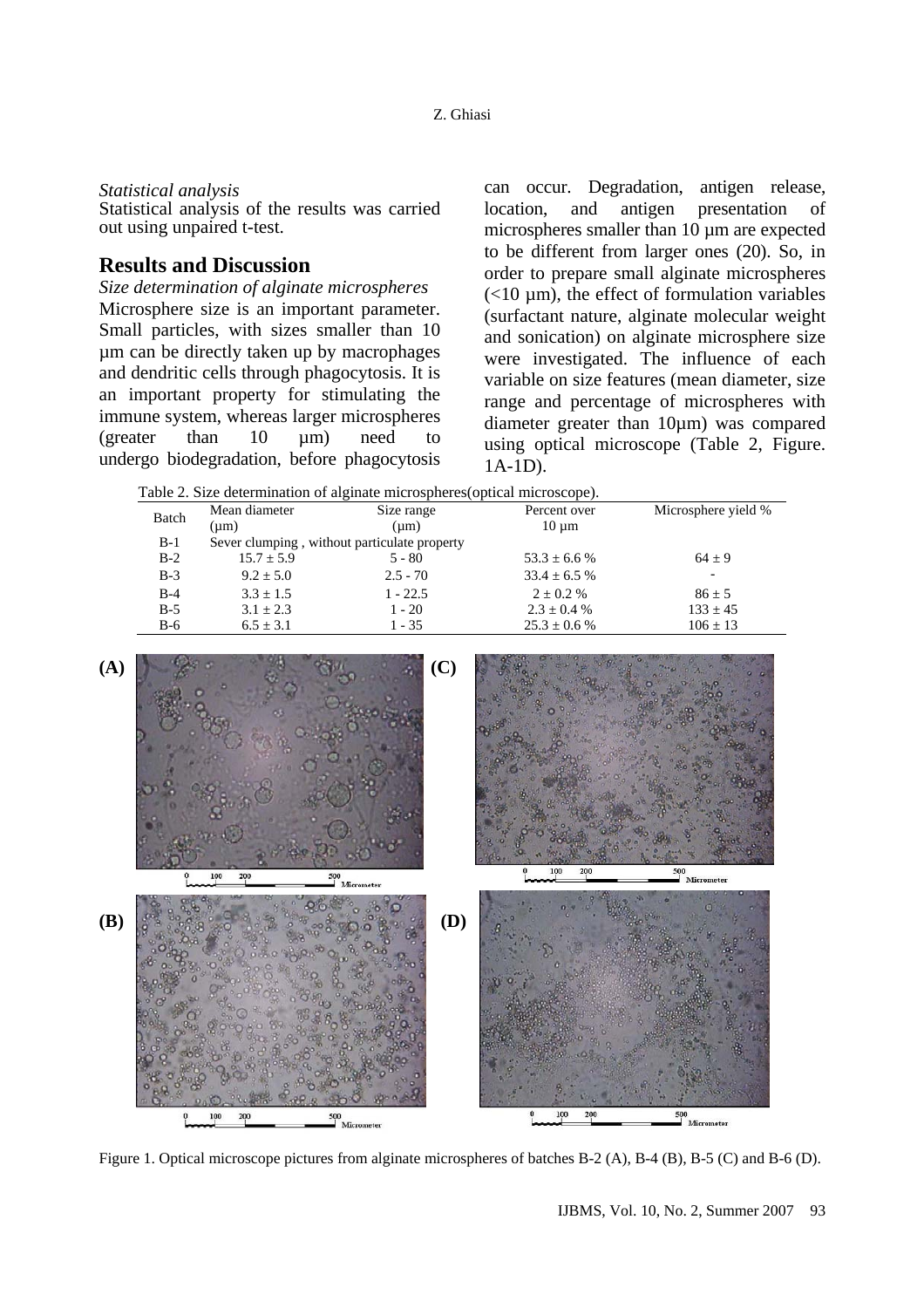#### *Statistical analysis*

Statistical analysis of the results was carried out using unpaired t-test.

### **Results and Discussion**

*Size determination of alginate microspheres*  Microsphere size is an important parameter. Small particles, with sizes smaller than 10 µm can be directly taken up by macrophages and dendritic cells through phagocytosis. It is an important property for stimulating the immune system, whereas larger microspheres (greater than 10 µm) need to undergo biodegradation, before phagocytosis can occur. Degradation, antigen release, location, and antigen presentation of microspheres smaller than 10 µm are expected to be different from larger ones (20). So, in order to prepare small alginate microspheres  $(<10 \mu m)$ , the effect of formulation variables (surfactant nature, alginate molecular weight and sonication) on alginate microsphere size were investigated. The influence of each variable on size features (mean diameter, size range and percentage of microspheres with diameter greater than 10µm) was compared using optical microscope (Table 2, Figure. 1A-1D).

|       |               | Table 2. Size determination of alginate microspheres (optical microscope). |              |                     |
|-------|---------------|----------------------------------------------------------------------------|--------------|---------------------|
|       | Mean diameter | Size range                                                                 | Percent over | Microsphere yield % |
| Batch | (um)          | (um)                                                                       | $10 \mu m$   |                     |
| B-1   |               | Sever clumping, without particulate property                               |              |                     |

B-3  $9.2 \pm 5.0$   $2.5 - 70$   $33.4 \pm 6.5 \%$ 

B-2  $15.7 \pm 5.9$   $5 - 80$   $53.3 \pm 6.6$  %  $64 \pm 9$ 

B-4  $3.3 \pm 1.5$  1 - 22.5  $2 \pm 0.2$  % 86  $\pm 5$ B-5  $3.1 \pm 2.3$   $1 - 20$   $2.3 \pm 0.4$  %  $133 \pm 45$ 

B-6 6.5  $\pm$  3.1 1 - 35 25.3  $\pm$  0.6 % 106  $\pm$  13 **(A) (C)** 200 500 **(B) (D)**  500<br>Micro

Figure 1. Optical microscope pictures from alginate microspheres of batches B-2 (A), B-4 (B), B-5 (C) and B-6 (D).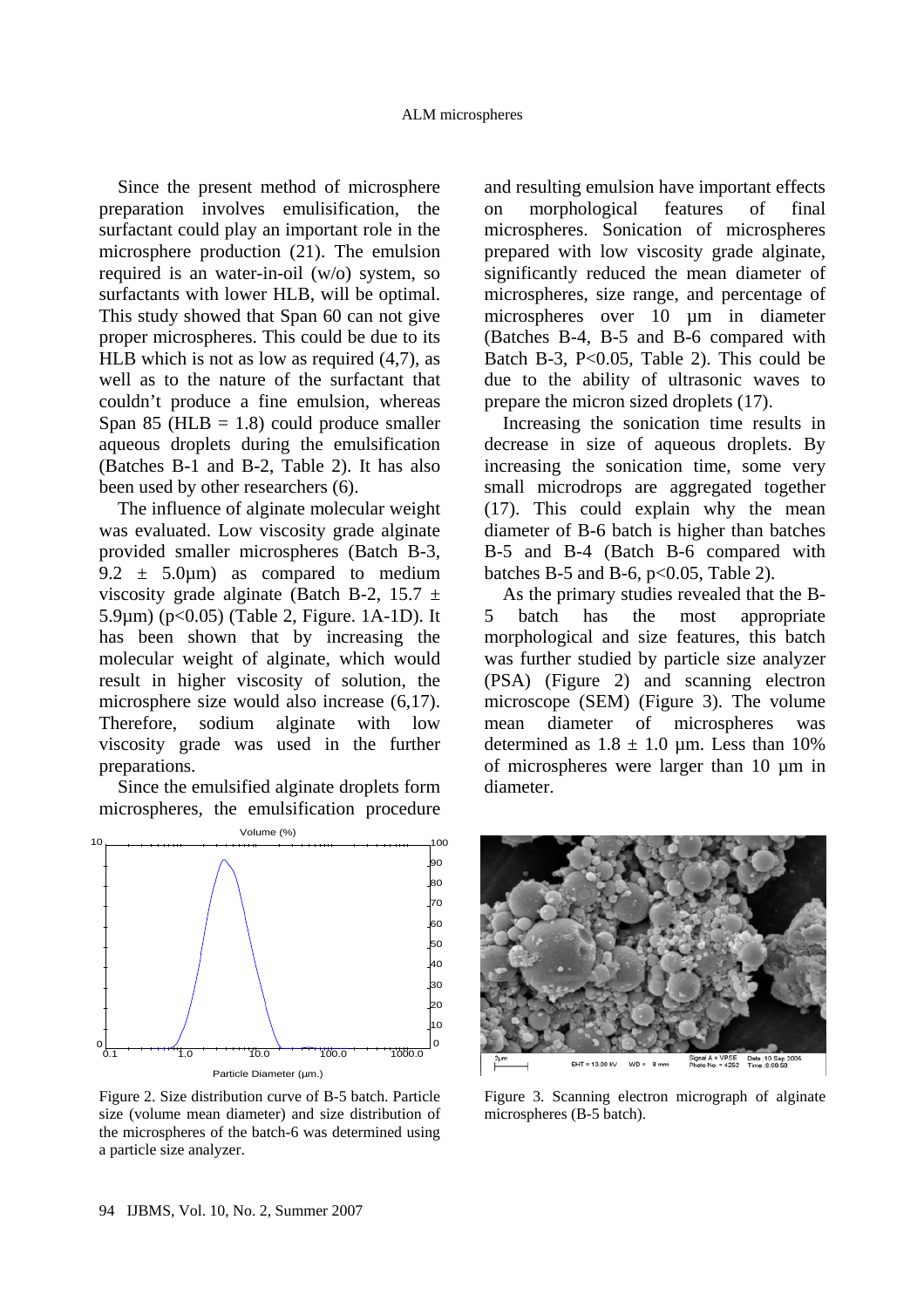Since the present method of microsphere preparation involves emulisification, the surfactant could play an important role in the microsphere production (21). The emulsion required is an water-in-oil (w/o) system, so surfactants with lower HLB, will be optimal. This study showed that Span 60 can not give proper microspheres. This could be due to its HLB which is not as low as required (4,7), as well as to the nature of the surfactant that couldn't produce a fine emulsion, whereas Span 85 ( $HLB = 1.8$ ) could produce smaller aqueous droplets during the emulsification (Batches B-1 and B-2, Table 2). It has also been used by other researchers (6).

The influence of alginate molecular weight was evaluated. Low viscosity grade alginate provided smaller microspheres (Batch B-3, 9.2  $\pm$  5.0 $\mu$ m) as compared to medium viscosity grade alginate (Batch B-2, 15.7  $\pm$ 5.9µm) (p<0.05) (Table 2, Figure. 1A-1D). It has been shown that by increasing the molecular weight of alginate, which would result in higher viscosity of solution, the microsphere size would also increase (6,17). Therefore, sodium alginate with low viscosity grade was used in the further preparations.

Since the emulsified alginate droplets form microspheres, the emulsification procedure



Figure 2. Size distribution curve of B-5 batch. Particle size (volume mean diameter) and size distribution of the microspheres of the batch-6 was determined using a particle size analyzer.

and resulting emulsion have important effects on morphological features of final microspheres. Sonication of microspheres prepared with low viscosity grade alginate, significantly reduced the mean diameter of microspheres, size range, and percentage of microspheres over 10 µm in diameter (Batches B-4, B-5 and B-6 compared with Batch B-3, P $<0.05$ , Table 2). This could be due to the ability of ultrasonic waves to prepare the micron sized droplets (17).

Increasing the sonication time results in decrease in size of aqueous droplets. By increasing the sonication time, some very small microdrops are aggregated together (17). This could explain why the mean diameter of B-6 batch is higher than batches B-5 and B-4 (Batch B-6 compared with batches B-5 and B-6,  $p<0.05$ , Table 2).

As the primary studies revealed that the B-5 batch has the most appropriate morphological and size features, this batch was further studied by particle size analyzer (PSA) (Figure 2) and scanning electron microscope (SEM) (Figure 3). The volume mean diameter of microspheres was determined as  $1.8 \pm 1.0$  µm. Less than 10% of microspheres were larger than 10 µm in diameter.



Figure 3. Scanning electron micrograph of alginate microspheres (B-5 batch).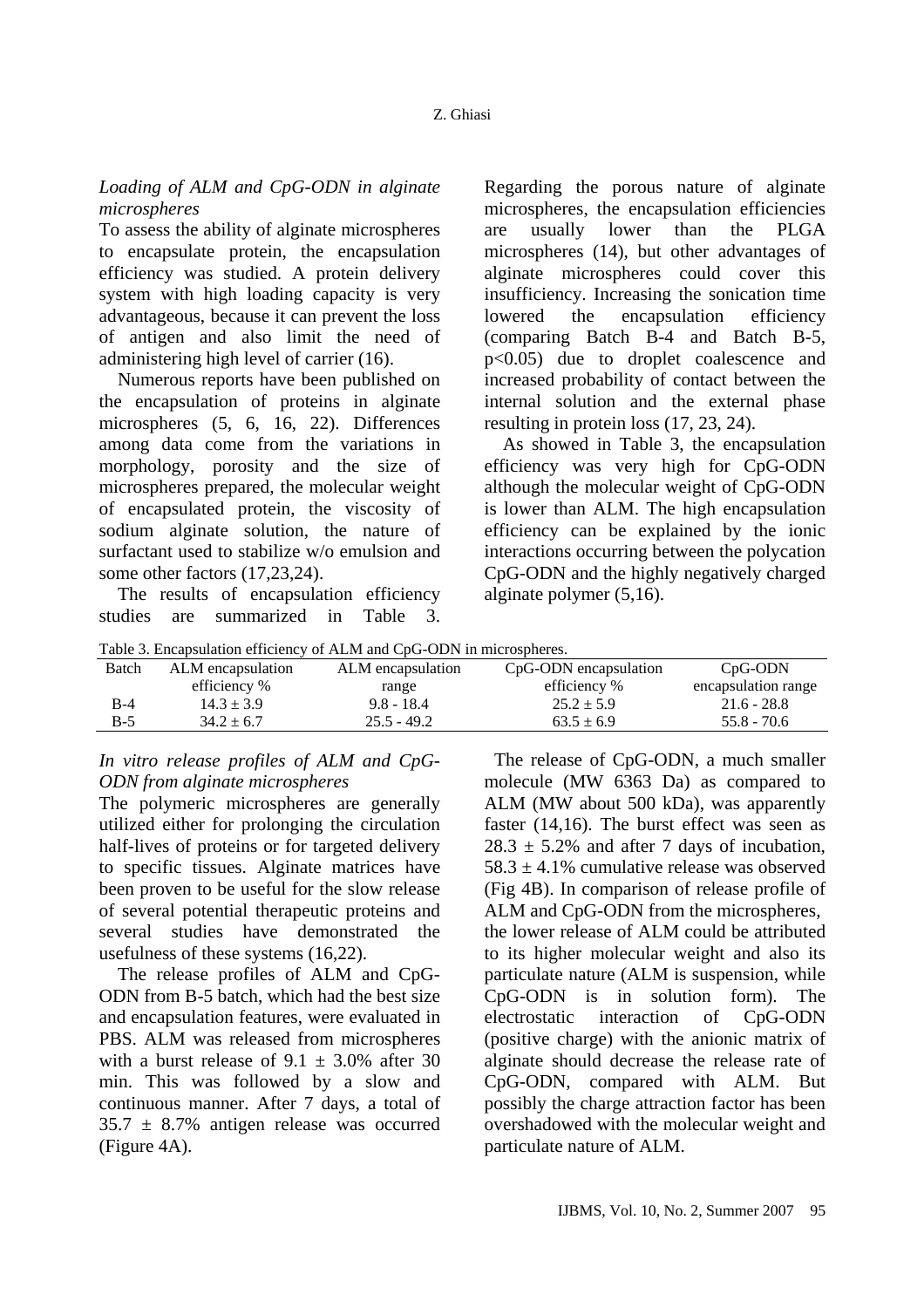#### *Loading of ALM and CpG-ODN in alginate microspheres*

To assess the ability of alginate microspheres to encapsulate protein, the encapsulation efficiency was studied. A protein delivery system with high loading capacity is very advantageous, because it can prevent the loss of antigen and also limit the need of administering high level of carrier (16).

Numerous reports have been published on the encapsulation of proteins in alginate microspheres (5, 6, 16, 22). Differences among data come from the variations in morphology, porosity and the size of microspheres prepared, the molecular weight of encapsulated protein, the viscosity of sodium alginate solution, the nature of surfactant used to stabilize w/o emulsion and some other factors (17,23,24).

The results of encapsulation efficiency studies are summarized in Table 3. Regarding the porous nature of alginate microspheres, the encapsulation efficiencies are usually lower than the PLGA microspheres (14), but other advantages of alginate microspheres could cover this insufficiency. Increasing the sonication time lowered the encapsulation efficiency (comparing Batch B-4 and Batch B-5, p<0.05) due to droplet coalescence and increased probability of contact between the internal solution and the external phase resulting in protein loss (17, 23, 24).

As showed in Table 3, the encapsulation efficiency was very high for CpG-ODN although the molecular weight of CpG-ODN is lower than ALM. The high encapsulation efficiency can be explained by the ionic interactions occurring between the polycation CpG-ODN and the highly negatively charged alginate polymer (5,16).

| Table 3. Encapsulation efficiency of ALM and CpG-ODN in microspheres. |  |  |
|-----------------------------------------------------------------------|--|--|
|                                                                       |  |  |
|                                                                       |  |  |

| Tuble 5. Envariation christener of Tient and CDO ODIT in introduction. |                   |                   |                       |                     |
|------------------------------------------------------------------------|-------------------|-------------------|-----------------------|---------------------|
| Batch                                                                  | ALM encapsulation | ALM encapsulation | CpG-ODN encapsulation | $CpG-ODN$           |
|                                                                        | efficiency %      | range             | efficiency %          | encapsulation range |
| $B-4$                                                                  | $14.3 \pm 3.9$    | $9.8 - 18.4$      | $25.2 \pm 5.9$        | $21.6 - 28.8$       |
| $B-5$                                                                  | $34.2 \pm 6.7$    | $25.5 - 49.2$     | $63.5 \pm 6.9$        | $55.8 - 70.6$       |

*In vitro release profiles of ALM and CpG-ODN from alginate microspheres* 

The polymeric microspheres are generally utilized either for prolonging the circulation half-lives of proteins or for targeted delivery to specific tissues. Alginate matrices have been proven to be useful for the slow release of several potential therapeutic proteins and several studies have demonstrated the usefulness of these systems (16,22).

The release profiles of ALM and CpG-ODN from B-5 batch, which had the best size and encapsulation features, were evaluated in PBS. ALM was released from microspheres with a burst release of  $9.1 \pm 3.0\%$  after 30 min. This was followed by a slow and continuous manner. After 7 days, a total of  $35.7 \pm 8.7\%$  antigen release was occurred (Figure 4A).

The release of CpG-ODN, a much smaller molecule (MW 6363 Da) as compared to ALM (MW about 500 kDa), was apparently faster (14,16). The burst effect was seen as  $28.3 \pm 5.2\%$  and after 7 days of incubation.  $58.3 \pm 4.1\%$  cumulative release was observed (Fig 4B). In comparison of release profile of ALM and CpG-ODN from the microspheres, the lower release of ALM could be attributed to its higher molecular weight and also its particulate nature (ALM is suspension, while CpG-ODN is in solution form). The electrostatic interaction of CpG-ODN (positive charge) with the anionic matrix of alginate should decrease the release rate of CpG-ODN, compared with ALM. But possibly the charge attraction factor has been overshadowed with the molecular weight and particulate nature of ALM.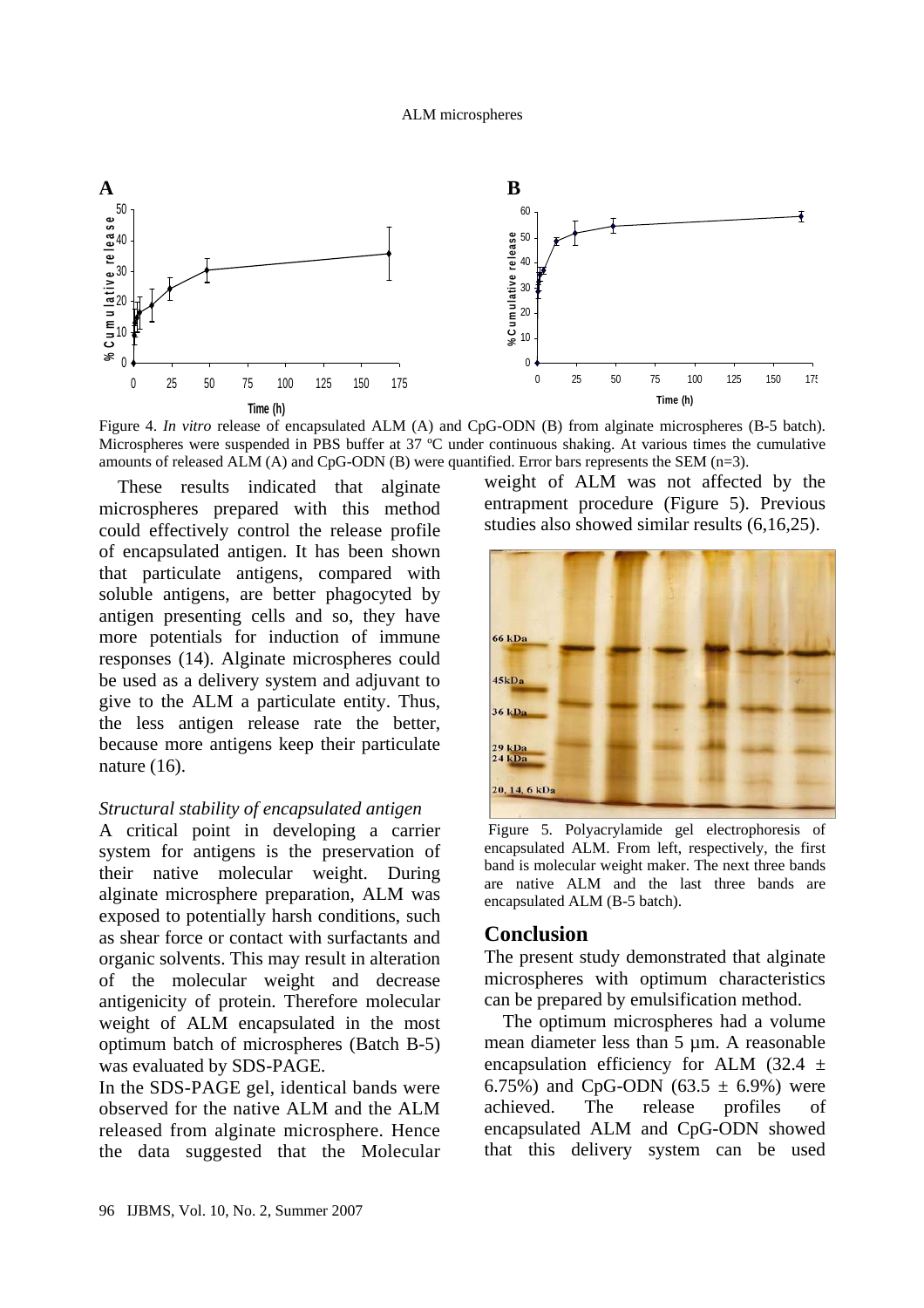

Figure 4. *In vitro* release of encapsulated ALM (A) and CpG-ODN (B) from alginate microspheres (B-5 batch). Microspheres were suspended in PBS buffer at 37 ºC under continuous shaking. At various times the cumulative amounts of released ALM  $(A)$  and CpG-ODN  $(B)$  were quantified. Error bars represents the SEM  $(n=3)$ .

These results indicated that alginate microspheres prepared with this method could effectively control the release profile of encapsulated antigen. It has been shown that particulate antigens, compared with soluble antigens, are better phagocyted by antigen presenting cells and so, they have more potentials for induction of immune responses (14). Alginate microspheres could be used as a delivery system and adjuvant to give to the ALM a particulate entity. Thus, the less antigen release rate the better, because more antigens keep their particulate nature (16).

#### *Structural stability of encapsulated antigen*

A critical point in developing a carrier system for antigens is the preservation of their native molecular weight. During alginate microsphere preparation, ALM was exposed to potentially harsh conditions, such as shear force or contact with surfactants and organic solvents. This may result in alteration of the molecular weight and decrease antigenicity of protein. Therefore molecular weight of ALM encapsulated in the most optimum batch of microspheres (Batch B-5) was evaluated by SDS-PAGE.

In the SDS-PAGE gel, identical bands were observed for the native ALM and the ALM released from alginate microsphere. Hence the data suggested that the Molecular

weight of ALM was not affected by the entrapment procedure (Figure 5). Previous studies also showed similar results (6,16,25).



 Figure 5. Polyacrylamide gel electrophoresis of encapsulated ALM. From left, respectively, the first band is molecular weight maker. The next three bands are native ALM and the last three bands are encapsulated ALM (B-5 batch).

#### **Conclusion**

The present study demonstrated that alginate microspheres with optimum characteristics can be prepared by emulsification method.

The optimum microspheres had a volume mean diameter less than 5 µm. A reasonable encapsulation efficiency for ALM  $(32.4 \pm$ 6.75%) and CpG-ODN (63.5  $\pm$  6.9%) were achieved. The release profiles of encapsulated ALM and CpG-ODN showed that this delivery system can be used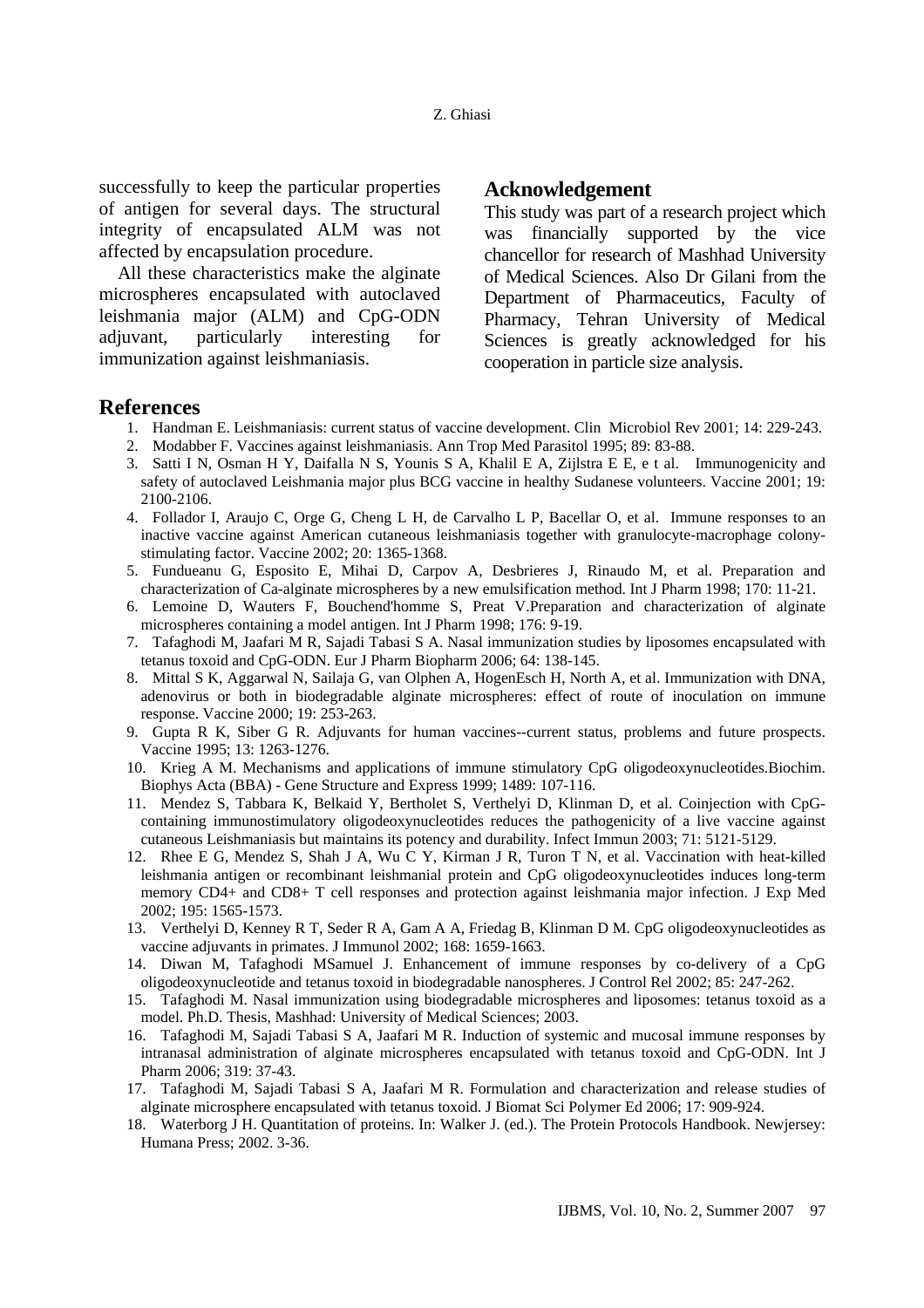successfully to keep the particular properties of antigen for several days. The structural integrity of encapsulated ALM was not affected by encapsulation procedure.

All these characteristics make the alginate microspheres encapsulated with autoclaved leishmania major (ALM) and CpG-ODN adjuvant, particularly interesting for immunization against leishmaniasis.

#### **Acknowledgement**

This study was part of a research project which was financially supported by the vice chancellor for research of Mashhad University of Medical Sciences. Also Dr Gilani from the Department of Pharmaceutics, Faculty of Pharmacy, Tehran University of Medical Sciences is greatly acknowledged for his cooperation in particle size analysis.

#### **References**

- 1. Handman E. Leishmaniasis: current status of vaccine development. Clin Microbiol Rev 2001; 14: 229-243.
- 2. Modabber F. Vaccines against leishmaniasis. Ann Trop Med Parasitol 1995; 89: 83-88.
- 3. Satti I N, Osman H Y, Daifalla N S, Younis S A, Khalil E A, Zijlstra E E, e t al. Immunogenicity and safety of autoclaved Leishmania major plus BCG vaccine in healthy Sudanese volunteers. Vaccine 2001; 19: 2100-2106.
- 4. Follador I, Araujo C, Orge G, Cheng L H, de Carvalho L P, Bacellar O, et al. Immune responses to an inactive vaccine against American cutaneous leishmaniasis together with granulocyte-macrophage colonystimulating factor. Vaccine 2002; 20: 1365-1368.
- 5. Fundueanu G, Esposito E, Mihai D, Carpov A, Desbrieres J, Rinaudo M, et al. Preparation and characterization of Ca-alginate microspheres by a new emulsification method. Int J Pharm 1998; 170: 11-21.
- 6. Lemoine D, Wauters F, Bouchend'homme S, Preat V.Preparation and characterization of alginate microspheres containing a model antigen. Int J Pharm 1998; 176: 9-19.
- 7. Tafaghodi M, Jaafari M R, Sajadi Tabasi S A. Nasal immunization studies by liposomes encapsulated with tetanus toxoid and CpG-ODN. Eur J Pharm Biopharm 2006; 64: 138-145.
- 8. Mittal S K, Aggarwal N, Sailaja G, van Olphen A, HogenEsch H, North A, et al. Immunization with DNA, adenovirus or both in biodegradable alginate microspheres: effect of route of inoculation on immune response. Vaccine 2000; 19: 253-263.
- 9. Gupta R K, Siber G R. Adjuvants for human vaccines--current status, problems and future prospects. Vaccine 1995; 13: 1263-1276.
- 10. Krieg A M. Mechanisms and applications of immune stimulatory CpG oligodeoxynucleotides.Biochim. Biophys Acta (BBA) - Gene Structure and Express 1999; 1489: 107-116.
- 11. Mendez S, Tabbara K, Belkaid Y, Bertholet S, Verthelyi D, Klinman D, et al. Coinjection with CpGcontaining immunostimulatory oligodeoxynucleotides reduces the pathogenicity of a live vaccine against cutaneous Leishmaniasis but maintains its potency and durability. Infect Immun 2003; 71: 5121-5129.
- 12. Rhee E G, Mendez S, Shah J A, Wu C Y, Kirman J R, Turon T N, et al. Vaccination with heat-killed leishmania antigen or recombinant leishmanial protein and CpG oligodeoxynucleotides induces long-term memory CD4+ and CD8+ T cell responses and protection against leishmania major infection. J Exp Med 2002; 195: 1565-1573.
- 13. Verthelyi D, Kenney R T, Seder R A, Gam A A, Friedag B, Klinman D M. CpG oligodeoxynucleotides as vaccine adjuvants in primates. J Immunol 2002; 168: 1659-1663.
- 14. Diwan M, Tafaghodi MSamuel J. Enhancement of immune responses by co-delivery of a CpG oligodeoxynucleotide and tetanus toxoid in biodegradable nanospheres. J Control Rel 2002; 85: 247-262.
- 15. Tafaghodi M. Nasal immunization using biodegradable microspheres and liposomes: tetanus toxoid as a model. Ph.D. Thesis, Mashhad: University of Medical Sciences; 2003.
- 16. Tafaghodi M, Sajadi Tabasi S A, Jaafari M R. Induction of systemic and mucosal immune responses by intranasal administration of alginate microspheres encapsulated with tetanus toxoid and CpG-ODN. Int J Pharm 2006; 319: 37-43.
- 17. Tafaghodi M, Sajadi Tabasi S A, Jaafari M R. Formulation and characterization and release studies of alginate microsphere encapsulated with tetanus toxoid. J Biomat Sci Polymer Ed 2006; 17: 909-924.
- 18. Waterborg J H. Quantitation of proteins. In: Walker J. (ed.). The Protein Protocols Handbook. Newjersey: Humana Press; 2002. 3-36.